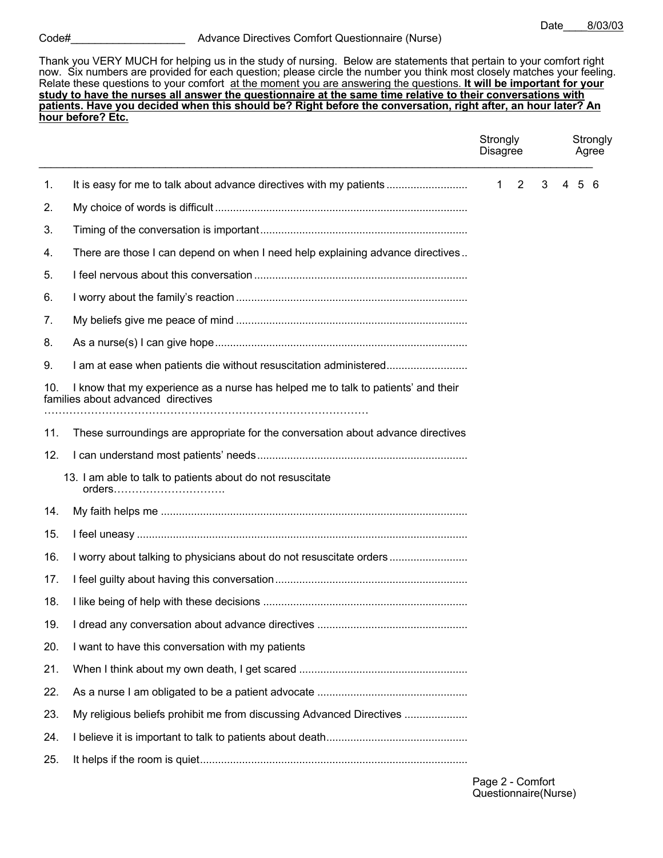Thank you VERY MUCH for helping us in the study of nursing. Below are statements that pertain to your comfort right now. Six numbers are provided for each question; please circle the number you think most closely matches your feeling. Relate these questions to your comfort at the moment you are answering the questions. **It will be important for your study to have the nurses all answer the questionnaire at the same time relative to their conversations with patients. Have you decided when this should be? Right before the conversation, right after, an hour later? An hour before? Etc.**

|     |                                                                                                                         | Strongly<br><b>Disagree</b> |   | Strongly<br>Agree |
|-----|-------------------------------------------------------------------------------------------------------------------------|-----------------------------|---|-------------------|
| 1.  | It is easy for me to talk about advance directives with my patients                                                     | $1\quad 2$                  | 3 | $5^{\circ}$       |
| 2.  |                                                                                                                         |                             |   |                   |
| 3.  |                                                                                                                         |                             |   |                   |
| 4.  | There are those I can depend on when I need help explaining advance directives                                          |                             |   |                   |
| 5.  |                                                                                                                         |                             |   |                   |
| 6.  |                                                                                                                         |                             |   |                   |
| 7.  |                                                                                                                         |                             |   |                   |
| 8.  |                                                                                                                         |                             |   |                   |
| 9.  | am at ease when patients die without resuscitation administered                                                         |                             |   |                   |
| 10. | I know that my experience as a nurse has helped me to talk to patients' and their<br>families about advanced directives |                             |   |                   |
| 11. | These surroundings are appropriate for the conversation about advance directives                                        |                             |   |                   |
| 12. |                                                                                                                         |                             |   |                   |
|     | 13. I am able to talk to patients about do not resuscitate<br>orders                                                    |                             |   |                   |
| 14. |                                                                                                                         |                             |   |                   |
| 15. |                                                                                                                         |                             |   |                   |
| 16. | I worry about talking to physicians about do not resuscitate orders                                                     |                             |   |                   |
| 17. |                                                                                                                         |                             |   |                   |
| 18. |                                                                                                                         |                             |   |                   |
| 19. |                                                                                                                         |                             |   |                   |
| 20. | I want to have this conversation with my patients                                                                       |                             |   |                   |
| 21. |                                                                                                                         |                             |   |                   |
| 22. |                                                                                                                         |                             |   |                   |
| 23. | My religious beliefs prohibit me from discussing Advanced Directives                                                    |                             |   |                   |
| 24. |                                                                                                                         |                             |   |                   |
| 25. |                                                                                                                         |                             |   |                   |